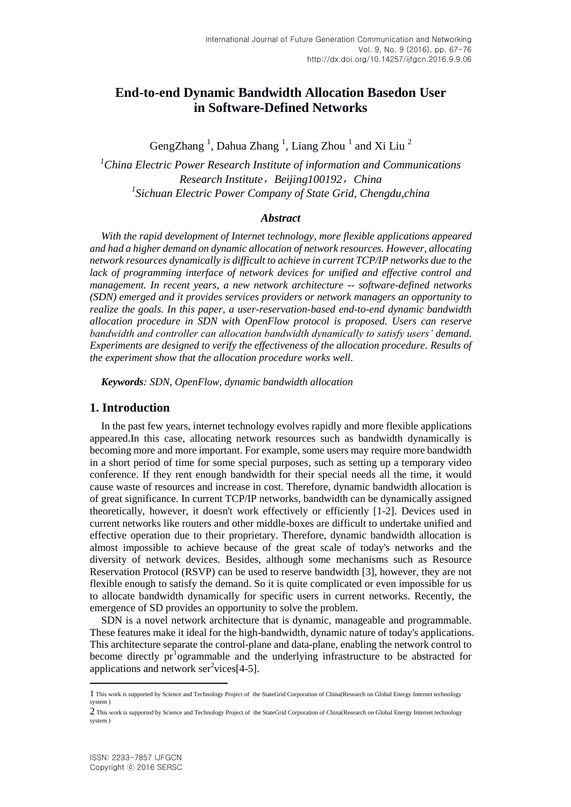# **End-to-end Dynamic Bandwidth Allocation Basedon User in Software-Defined Networks**

GengZhang<sup>1</sup>, Dahua Zhang<sup>1</sup>, Liang Zhou<sup>1</sup> and Xi Liu<sup>2</sup>

*<sup>1</sup>China Electric Power Research Institute of information and Communications Research Institute*,*Beijing100192*,*China 1 Sichuan Electric Power Company of State Grid, Chengdu,china*

#### *Abstract*

*With the rapid development of Internet technology, more flexible applications appeared and had a higher demand on dynamic allocation of network resources. However, allocating network resources dynamically is difficult to achieve in current TCP/IP networks due to the lack of programming interface of network devices for unified and effective control and management. In recent years, a new network architecture -- software-defined networks (SDN) emerged and it provides services providers or network managers an opportunity to realize the goals. In this paper, a user-reservation-based end-to-end dynamic bandwidth allocation procedure in SDN with OpenFlow protocol is proposed. Users can reserve bandwidth and controller can allocation bandwidth dynamically to satisfy users' demand. Experiments are designed to verify the effectiveness of the allocation procedure. Results of the experiment show that the allocation procedure works well.*

*Keywords: SDN, OpenFlow, dynamic bandwidth allocation*

### **1. Introduction**

In the past few years, internet technology evolves rapidly and more flexible applications appeared.In this case, allocating network resources such as bandwidth dynamically is becoming more and more important. For example, some users may require more bandwidth in a short period of time for some special purposes, such as setting up a temporary video conference. If they rent enough bandwidth for their special needs all the time, it would cause waste of resources and increase in cost. Therefore, dynamic bandwidth allocation is of great significance. In current TCP/IP networks, bandwidth can be dynamically assigned theoretically, however, it doesn't work effectively or efficiently [1-2]. Devices used in current networks like routers and other middle-boxes are difficult to undertake unified and effective operation due to their proprietary. Therefore, dynamic bandwidth allocation is almost impossible to achieve because of the great scale of today's networks and the diversity of network devices. Besides, although some mechanisms such as Resource Reservation Protocol (RSVP) can be used to reserve bandwidth [3], however, they are not flexible enough to satisfy the demand. So it is quite complicated or even impossible for us to allocate bandwidth dynamically for specific users in current networks. Recently, the emergence of SD provides an opportunity to solve the problem.

SDN is a novel network architecture that is dynamic, manageable and programmable. These features make it ideal for the high-bandwidth, dynamic nature of today's applications. This architecture separate the control-plane and data-plane, enabling the network control to become directly  $pr^1$  ogrammable and the underlying infrastructure to be abstracted for applications and network  $ser<sup>2</sup>$ vices $[4-5]$ .

 $\overline{\phantom{a}}$ 

<sup>1</sup> This work is supported by Science and Technology Project of the StateGrid Corporation of China(Research on Global Energy Internet technology system )

<sup>2</sup> This work is supported by Science and Technology Project of the StateGrid Corporation of China(Research on Global Energy Internet technology system )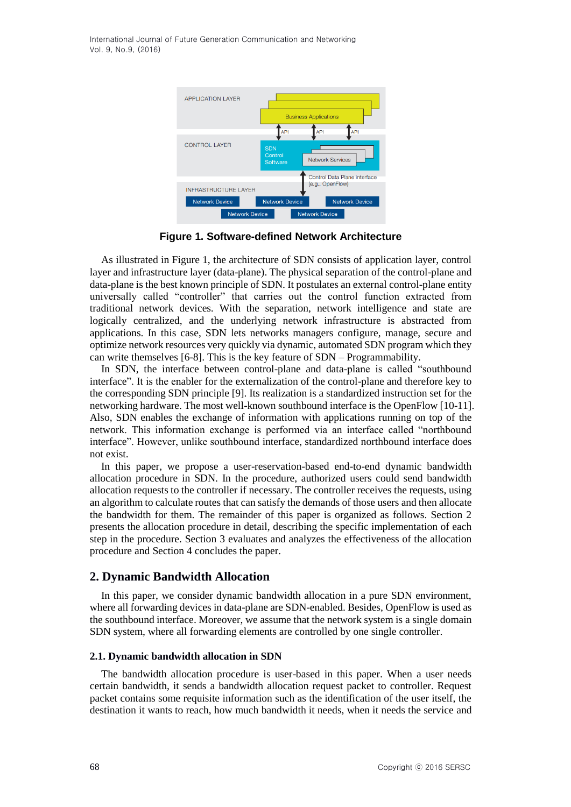

**Figure 1. Software-defined Network Architecture**

As illustrated in Figure 1, the architecture of SDN consists of application layer, control layer and infrastructure layer (data-plane). The physical separation of the control-plane and data-plane is the best known principle of SDN. It postulates an external control-plane entity universally called "controller" that carries out the control function extracted from traditional network devices. With the separation, network intelligence and state are logically centralized, and the underlying network infrastructure is abstracted from applications. In this case, SDN lets networks managers configure, manage, secure and optimize network resources very quickly via dynamic, automated SDN program which they can write themselves [6-8]. This is the key feature of SDN – Programmability.

In SDN, the interface between control-plane and data-plane is called "southbound interface". It is the enabler for the externalization of the control-plane and therefore key to the corresponding SDN principle [9]. Its realization is a standardized instruction set for the networking hardware. The most well-known southbound interface is the OpenFlow [10-11]. Also, SDN enables the exchange of information with applications running on top of the network. This information exchange is performed via an interface called "northbound interface". However, unlike southbound interface, standardized northbound interface does not exist.

In this paper, we propose a user-reservation-based end-to-end dynamic bandwidth allocation procedure in SDN. In the procedure, authorized users could send bandwidth allocation requests to the controller if necessary. The controller receives the requests, using an algorithm to calculate routes that can satisfy the demands of those users and then allocate the bandwidth for them. The remainder of this paper is organized as follows. Section 2 presents the allocation procedure in detail, describing the specific implementation of each step in the procedure. Section 3 evaluates and analyzes the effectiveness of the allocation procedure and Section 4 concludes the paper.

## **2. Dynamic Bandwidth Allocation**

In this paper, we consider dynamic bandwidth allocation in a pure SDN environment, where all forwarding devices in data-plane are SDN-enabled. Besides, OpenFlow is used as the southbound interface. Moreover, we assume that the network system is a single domain SDN system, where all forwarding elements are controlled by one single controller.

#### **2.1. Dynamic bandwidth allocation in SDN**

The bandwidth allocation procedure is user-based in this paper. When a user needs certain bandwidth, it sends a bandwidth allocation request packet to controller. Request packet contains some requisite information such as the identification of the user itself, the destination it wants to reach, how much bandwidth it needs, when it needs the service and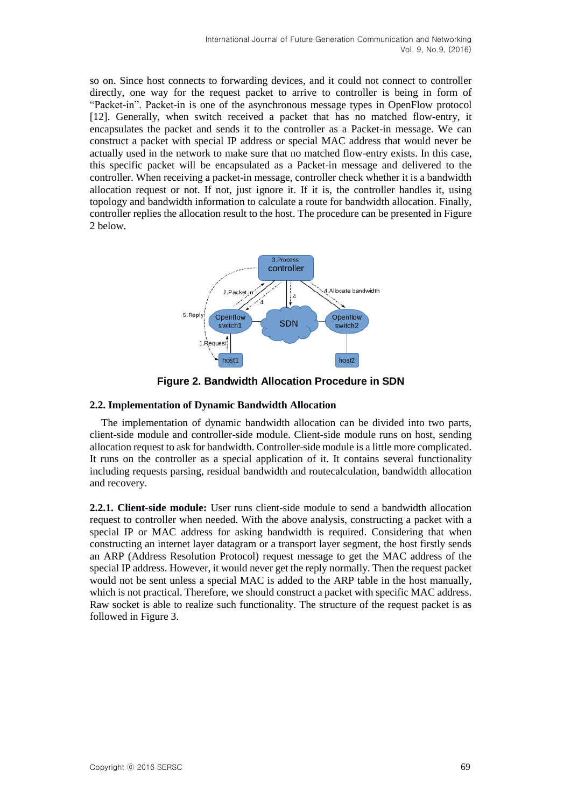so on. Since host connects to forwarding devices, and it could not connect to controller directly, one way for the request packet to arrive to controller is being in form of "Packet-in". Packet-in is one of the asynchronous message types in OpenFlow protocol [12]. Generally, when switch received a packet that has no matched flow-entry, it encapsulates the packet and sends it to the controller as a Packet-in message. We can construct a packet with special IP address or special MAC address that would never be actually used in the network to make sure that no matched flow-entry exists. In this case, this specific packet will be encapsulated as a Packet-in message and delivered to the controller. When receiving a packet-in message, controller check whether it is a bandwidth allocation request or not. If not, just ignore it. If it is, the controller handles it, using topology and bandwidth information to calculate a route for bandwidth allocation. Finally, controller replies the allocation result to the host. The procedure can be presented in Figure 2 below.



**Figure 2. Bandwidth Allocation Procedure in SDN**

### **2.2. Implementation of Dynamic Bandwidth Allocation**

The implementation of dynamic bandwidth allocation can be divided into two parts, client-side module and controller-side module. Client-side module runs on host, sending allocation request to ask for bandwidth. Controller-side module is a little more complicated. It runs on the controller as a special application of it. It contains several functionality including requests parsing, residual bandwidth and routecalculation, bandwidth allocation and recovery.

**2.2.1. Client-side module:** User runs client-side module to send a bandwidth allocation request to controller when needed. With the above analysis, constructing a packet with a special IP or MAC address for asking bandwidth is required. Considering that when constructing an internet layer datagram or a transport layer segment, the host firstly sends an ARP (Address Resolution Protocol) request message to get the MAC address of the special IP address. However, it would never get the reply normally. Then the request packet would not be sent unless a special MAC is added to the ARP table in the host manually, which is not practical. Therefore, we should construct a packet with specific MAC address. Raw socket is able to realize such functionality. The structure of the request packet is as followed in Figure 3.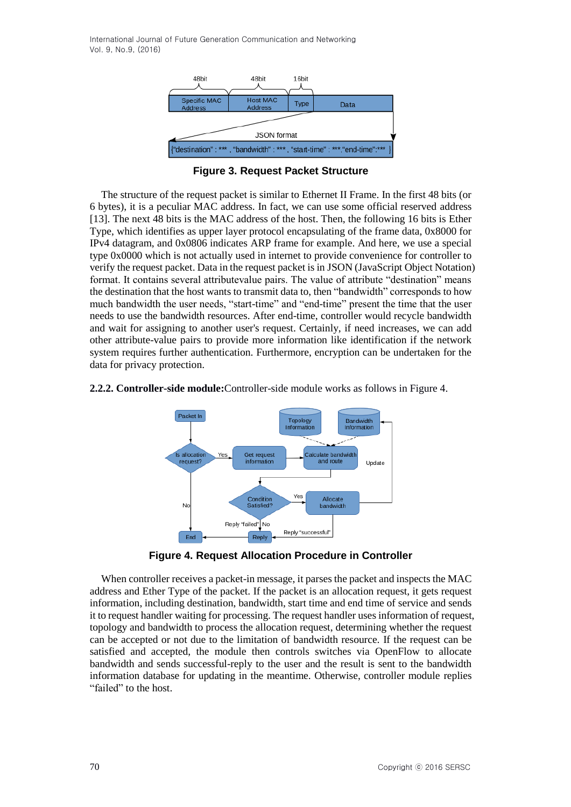

**Figure 3. Request Packet Structure**

The structure of the request packet is similar to Ethernet II Frame. In the first 48 bits (or 6 bytes), it is a peculiar MAC address. In fact, we can use some official reserved address [13]. The next 48 bits is the MAC address of the host. Then, the following 16 bits is Ether Type, which identifies as upper layer protocol encapsulating of the frame data, 0x8000 for IPv4 datagram, and 0x0806 indicates ARP frame for example. And here, we use a special type 0x0000 which is not actually used in internet to provide convenience for controller to verify the request packet. Data in the request packet is in JSON (JavaScript Object Notation) format. It contains several attributevalue pairs. The value of attribute "destination" means the destination that the host wants to transmit data to, then "bandwidth" corresponds to how much bandwidth the user needs, "start-time" and "end-time" present the time that the user needs to use the bandwidth resources. After end-time, controller would recycle bandwidth and wait for assigning to another user's request. Certainly, if need increases, we can add other attribute-value pairs to provide more information like identification if the network system requires further authentication. Furthermore, encryption can be undertaken for the data for privacy protection.

#### **2.2.2. Controller-side module:**Controller-side module works as follows in Figure 4.



**Figure 4. Request Allocation Procedure in Controller**

When controller receives a packet-in message, it parses the packet and inspects the MAC address and Ether Type of the packet. If the packet is an allocation request, it gets request information, including destination, bandwidth, start time and end time of service and sends it to request handler waiting for processing. The request handler uses information of request, topology and bandwidth to process the allocation request, determining whether the request can be accepted or not due to the limitation of bandwidth resource. If the request can be satisfied and accepted, the module then controls switches via OpenFlow to allocate bandwidth and sends successful-reply to the user and the result is sent to the bandwidth information database for updating in the meantime. Otherwise, controller module replies "failed" to the host.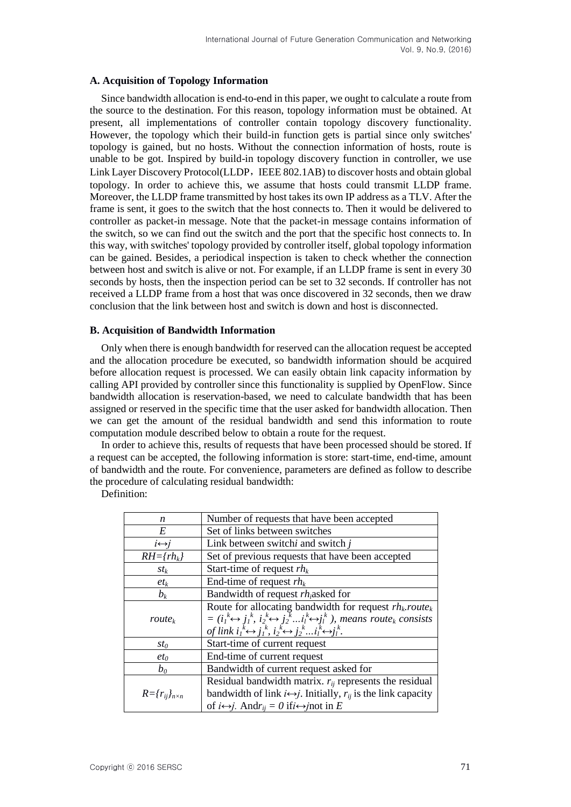#### **A. Acquisition of Topology Information**

Since bandwidth allocation is end-to-end in this paper, we ought to calculate a route from the source to the destination. For this reason, topology information must be obtained. At present, all implementations of controller contain topology discovery functionality. However, the topology which their build-in function gets is partial since only switches' topology is gained, but no hosts. Without the connection information of hosts, route is unable to be got. Inspired by build-in topology discovery function in controller, we use Link Layer Discovery Protocol(LLDP, IEEE 802.1AB) to discover hosts and obtain global topology. In order to achieve this, we assume that hosts could transmit LLDP frame. Moreover, the LLDP frame transmitted by host takes its own IP address as a TLV. After the frame is sent, it goes to the switch that the host connects to. Then it would be delivered to controller as packet-in message. Note that the packet-in message contains information of the switch, so we can find out the switch and the port that the specific host connects to. In this way, with switches' topology provided by controller itself, global topology information can be gained. Besides, a periodical inspection is taken to check whether the connection between host and switch is alive or not. For example, if an LLDP frame is sent in every 30 seconds by hosts, then the inspection period can be set to 32 seconds. If controller has not received a LLDP frame from a host that was once discovered in 32 seconds, then we draw conclusion that the link between host and switch is down and host is disconnected.

#### **B. Acquisition of Bandwidth Information**

Only when there is enough bandwidth for reserved can the allocation request be accepted and the allocation procedure be executed, so bandwidth information should be acquired before allocation request is processed. We can easily obtain link capacity information by calling API provided by controller since this functionality is supplied by OpenFlow. Since bandwidth allocation is reservation-based, we need to calculate bandwidth that has been assigned or reserved in the specific time that the user asked for bandwidth allocation. Then we can get the amount of the residual bandwidth and send this information to route computation module described below to obtain a route for the request.

In order to achieve this, results of requests that have been processed should be stored. If a request can be accepted, the following information is store: start-time, end-time, amount of bandwidth and the route. For convenience, parameters are defined as follow to describe the procedure of calculating residual bandwidth:

Definition:

| n                           | Number of requests that have been accepted                                                                                                                                                                            |  |
|-----------------------------|-----------------------------------------------------------------------------------------------------------------------------------------------------------------------------------------------------------------------|--|
| E                           | Set of links between switches                                                                                                                                                                                         |  |
| $i \leftrightarrow i$       | Link between switchi and switch j                                                                                                                                                                                     |  |
| $RH=\{rh_k\}$               | Set of previous requests that have been accepted                                                                                                                                                                      |  |
| $St_k$                      | Start-time of request $rh_k$                                                                                                                                                                                          |  |
| $et_k$                      | End-time of request $rh_k$                                                                                                                                                                                            |  |
| $b_k$                       | Bandwidth of request $rh_i$ asked for                                                                                                                                                                                 |  |
| $route_k$                   |                                                                                                                                                                                                                       |  |
|                             | Route for allocating bandwidth for request $rh_k$ <i>route</i> <sub>k</sub><br>= $(i_1^k \leftrightarrow j_1^k, i_2^k \leftrightarrow j_2^k  i_l^k \leftrightarrow j_l^k)$ , <i>means route</i> <sub>k</sub> consists |  |
|                             | of link $i_1^k \leftrightarrow j_1^k$ , $i_2^k \leftrightarrow j_2^k \dots i_l^k \leftrightarrow j_l^k$ .                                                                                                             |  |
| $st_0$                      | Start-time of current request                                                                                                                                                                                         |  |
| $et_0$                      | End-time of current request                                                                                                                                                                                           |  |
| $b_0$                       | Bandwidth of current request asked for                                                                                                                                                                                |  |
|                             | Residual bandwidth matrix. $r_{ij}$ represents the residual                                                                                                                                                           |  |
| $R = {r_{ij}}_{n \times n}$ | bandwidth of link $i \leftrightarrow j$ . Initially, $r_{ij}$ is the link capacity                                                                                                                                    |  |
|                             | of $i \leftrightarrow j$ . And $r_{ij} = 0$ if $i \leftrightarrow j$ not in E                                                                                                                                         |  |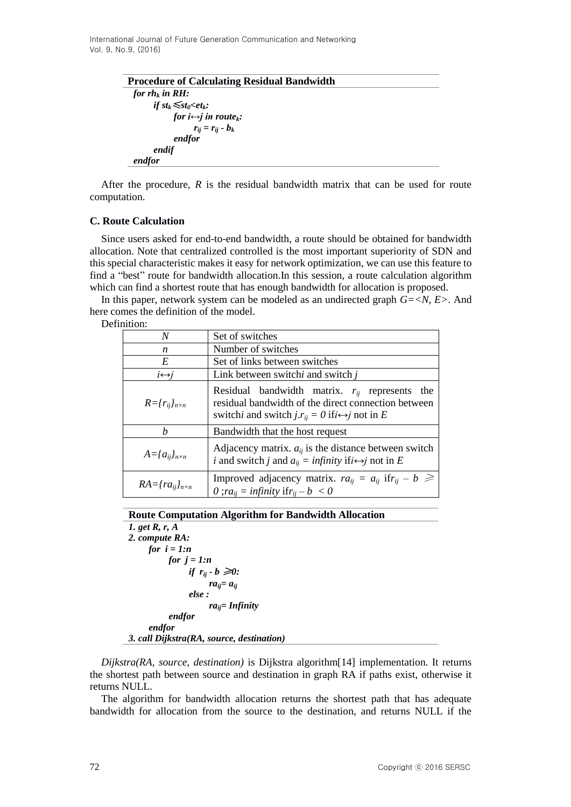> **Procedure of Calculating Residual Bandwidth** *for rh<sup>k</sup> in RH: if*  $st_k \leq st_0 < et_k$ *: for i* $\leftrightarrow$ *j in route*<sub>*k*</sub>:  $r_{ij} = r_{ij} - b_k$ *endfor endif endfor*

After the procedure, *R* is the residual bandwidth matrix that can be used for route computation.

#### **C. Route Calculation**

Since users asked for end-to-end bandwidth, a route should be obtained for bandwidth allocation. Note that centralized controlled is the most important superiority of SDN and this special characteristic makes it easy for network optimization, we can use this feature to find a "best" route for bandwidth allocation.In this session, a route calculation algorithm which can find a shortest route that has enough bandwidth for allocation is proposed.

In this paper, network system can be modeled as an undirected graph *G=<N, E>*. And here comes the definition of the model.

Definition:

| N                               | Set of switches                                                                                                                                                                  |  |
|---------------------------------|----------------------------------------------------------------------------------------------------------------------------------------------------------------------------------|--|
| n                               | Number of switches                                                                                                                                                               |  |
| E                               | Set of links between switches                                                                                                                                                    |  |
| $i \leftrightarrow j$           | Link between switchi and switch j                                                                                                                                                |  |
| $R = {r_{ij}}_{n \times n}$     | Residual bandwidth matrix. $r_{ij}$ represents the<br>residual bandwidth of the direct connection between<br>switchi and switch $j.r_{ii} = 0$ if $i \leftrightarrow j$ not in E |  |
| h                               | Bandwidth that the host request                                                                                                                                                  |  |
| $A = \{a_{ij}\}_{n \times n}$   | Adjacency matrix. $a_{ij}$ is the distance between switch<br><i>i</i> and switch <i>j</i> and $a_{ij} = \text{infinity if } i \leftrightarrow j$ not in E                        |  |
| $RA = \{ra_{ij}\}_{n \times n}$ | Improved adjacency matrix. $ra_{ii} = a_{ii}$ if $r_{ii} - b \geq$<br>0; $ra_{ii} =$ infinity if $r_{ii} - b < 0$                                                                |  |

**Route Computation Algorithm for Bandwidth Allocation**

*1. get R, r, A 2. compute RA: for i = 1:n for j = 1:n if*  $r_{ij} \cdot b \geq 0$ :  $ra_{ii} = a_{ii}$ *else : raij= Infinity endfor endfor 3. call Dijkstra(RA, source, destination)*

*Dijkstra(RA, source, destination)* is Dijkstra algorithm[14] implementation. It returns the shortest path between source and destination in graph RA if paths exist, otherwise it returns NULL.

The algorithm for bandwidth allocation returns the shortest path that has adequate bandwidth for allocation from the source to the destination, and returns NULL if the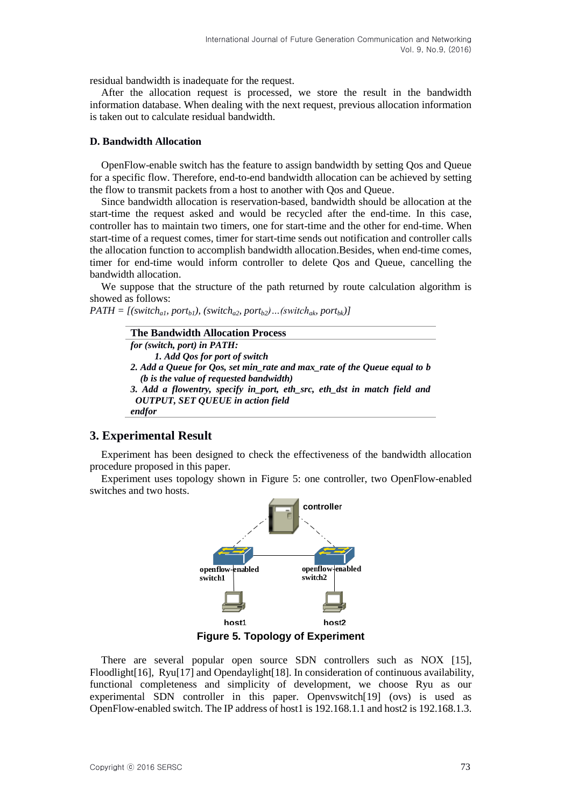residual bandwidth is inadequate for the request.

After the allocation request is processed, we store the result in the bandwidth information database. When dealing with the next request, previous allocation information is taken out to calculate residual bandwidth.

#### **D. Bandwidth Allocation**

OpenFlow-enable switch has the feature to assign bandwidth by setting Qos and Queue for a specific flow. Therefore, end-to-end bandwidth allocation can be achieved by setting the flow to transmit packets from a host to another with Qos and Queue.

Since bandwidth allocation is reservation-based, bandwidth should be allocation at the start-time the request asked and would be recycled after the end-time. In this case, controller has to maintain two timers, one for start-time and the other for end-time. When start-time of a request comes, timer for start-time sends out notification and controller calls the allocation function to accomplish bandwidth allocation.Besides, when end-time comes, timer for end-time would inform controller to delete Qos and Queue, cancelling the bandwidth allocation.

We suppose that the structure of the path returned by route calculation algorithm is showed as follows:

 $PATH = [(switch<sub>al</sub>, port<sub>bl</sub>), (switch<sub>al</sub>, port<sub>ba2</sub>, port<sub>ba2</sub>)... (switch<sub>ak</sub>, port<sub>bk</sub>)]$ 

| <b>The Bandwidth Allocation Process</b>                                   |  |  |
|---------------------------------------------------------------------------|--|--|
| for (switch, port) in PATH:                                               |  |  |
| 1. Add Qos for port of switch                                             |  |  |
| 2. Add a Queue for Qos, set min_rate and max_rate of the Queue equal to b |  |  |
| (b is the value of requested bandwidth)                                   |  |  |
| 3. Add a flowentry, specify in port, eth_src, eth_dst in match field and  |  |  |
| <b>OUTPUT, SET QUEUE in action field</b>                                  |  |  |
| endfor                                                                    |  |  |

## **3. Experimental Result**

Experiment has been designed to check the effectiveness of the bandwidth allocation procedure proposed in this paper.

Experiment uses topology shown in Figure 5: one controller, two OpenFlow-enabled switches and two hosts.



**Figure 5. Topology of Experiment**

There are several popular open source SDN controllers such as NOX [15], Floodlight[16], Ryu[17] and Opendaylight[18]. In consideration of continuous availability, functional completeness and simplicity of development, we choose Ryu as our experimental SDN controller in this paper. Openvswitch[19] (ovs) is used as OpenFlow-enabled switch. The IP address of host1 is 192.168.1.1 and host2 is 192.168.1.3.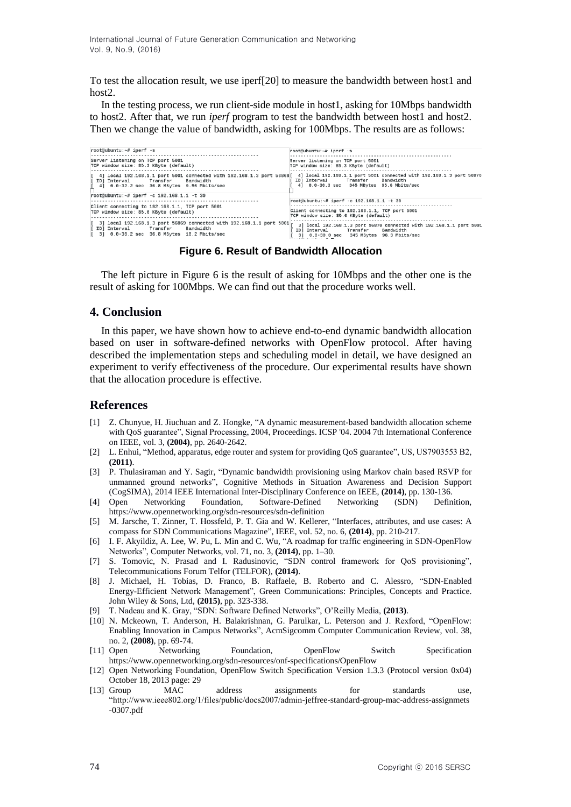To test the allocation result, we use iperf[20] to measure the bandwidth between host1 and host2.

In the testing process, we run client-side module in host1, asking for 10Mbps bandwidth to host2. After that, we run *iperf* program to test the bandwidth between host1 and host2. Then we change the value of bandwidth, asking for 100Mbps. The results are as follows:

| root@ubuntu:~# iperf -s                                                                                                                                                                                                           | root@ubuntu:~# iperf -s                                                                                                        |
|-----------------------------------------------------------------------------------------------------------------------------------------------------------------------------------------------------------------------------------|--------------------------------------------------------------------------------------------------------------------------------|
| Server listening on TCP port 5001<br>TCP window size: 85.3 KByte (default)                                                                                                                                                        | Server listening on TCP port 5001<br>TCP window size: 85.3 KByte (default)                                                     |
| [41] local 192.168.1.1 port 5001 connected with 192.168.1.3 port 56869[41] local 192.168.1.1 port 5001 connected with 192.168.1.3 port 56870<br>[ ID] Interval Transfer Bandwidth<br>[ 4] 0.0-32.2 sec 36.8 MBytes 9.56 Mbits/sec | ID] Interval        Transfer      Bandwidth<br>4] 0.0-30.3 sec 345 MBytes 95.6 Mbits/sec                                       |
| root@ubuntu:~# iperf -c 192.168.1.1 -t 30                                                                                                                                                                                         | root@ubuntu:~# iperf -c 192.168.1.1 -t 30                                                                                      |
| Client connecting to 192.168.1.1, TCP port 5001<br>TCP window size: 85.0 KByte (default)                                                                                                                                          | Client connecting to 192.168.1.1, TCP port 5001<br>TCP window size: 85.0 KByte (default)                                       |
| $\vert$ 31 local 192.168.1.3 port 56869 connected with 192.168.1.1 port 5001<br>[ ID] Interval Transfer Bandwidth<br>$\begin{bmatrix} 3 \end{bmatrix}$ 0.0-30.2 sec 36.8 MBytes 10.2 Mbits/sec                                    | 3] local 192.168.1.3 port 56870 connected with 192.168.1.1 port 5001<br>Bandwidth<br>3] 0.0-30.0 sec 345 MBytes 96.3 Mbits/sec |

**Figure 6. Result of Bandwidth Allocation**

The left picture in Figure 6 is the result of asking for 10Mbps and the other one is the result of asking for 100Mbps. We can find out that the procedure works well.

## **4. Conclusion**

In this paper, we have shown how to achieve end-to-end dynamic bandwidth allocation based on user in software-defined networks with OpenFlow protocol. After having described the implementation steps and scheduling model in detail, we have designed an experiment to verify effectiveness of the procedure. Our experimental results have shown that the allocation procedure is effective.

## **References**

- [1] Z. Chunyue, H. Jiuchuan and Z. Hongke, "A dynamic measurement-based bandwidth allocation scheme with QoS guarantee", Signal Processing, 2004, Proceedings. ICSP '04. 2004 7th International Conference on IEEE, vol. 3, **(2004)**, pp. 2640-2642.
- [2] L. Enhui, "Method, apparatus, edge router and system for providing QoS guarantee", US, US7903553 B2, **(2011)**.
- [3] P. Thulasiraman and Y. Sagir, "Dynamic bandwidth provisioning using Markov chain based RSVP for unmanned ground networks", Cognitive Methods in Situation Awareness and Decision Support (CogSIMA), 2014 IEEE International Inter-Disciplinary Conference on IEEE, **(2014)**, pp. 130-136.
- [4] Open Networking Foundation, Software-Defined Networking (SDN) Definition, https://www.opennetworking.org/sdn-resources/sdn-definition
- [5] M. Jarsche, T. Zinner, T. Hossfeld, P. T. Gia and W. Kellerer, "Interfaces, attributes, and use cases: A compass for SDN Communications Magazine", IEEE, vol. 52, no. 6, **(2014)**, pp. 210-217.
- [6] I. F. Akyildiz, A. Lee, W. Pu, L. Min and C. Wu, "A roadmap for traffic engineering in SDN-OpenFlow Networks", Computer Networks, vol. 71, no. 3, **(2014)**, pp. 1–30.
- [7] S. Tomovic, N. Prasad and I. Radusinovic, "SDN control framework for QoS provisioning", Telecommunications Forum Telfor (TELFOR), **(2014)**.
- [8] J. Michael, H. Tobias, D. Franco, B. Raffaele, B. Roberto and C. Alessro, "SDN-Enabled Energy-Efficient Network Management", Green Communications: Principles, Concepts and Practice. John Wiley & Sons, Ltd, **(2015)**, pp. 323-338.
- [9] T. Nadeau and K. Gray, "SDN: Software Defined Networks", O'Reilly Media, **(2013)**.
- [10] N. Mckeown, T. Anderson, H. Balakrishnan, G. Parulkar, L. Peterson and J. Rexford, "OpenFlow: Enabling Innovation in Campus Networks", AcmSigcomm Computer Communication Review, vol. 38, no. 2, **(2008)**, pp. 69-74.
- [11] Open Networking Foundation, OpenFlow Switch Specification <https://www.opennetworking.org/sdn-resources/onf-specifications/OpenFlow>
- [12] Open Networking Foundation, OpenFlow Switch Specification Version 1.3.3 (Protocol version 0x04) October 18, 2013 page: 29
- [13] Group MAC address assignments for standards use, "http://www.ieee802.org/1/files/public/docs2007/admin-jeffree-standard-group-mac-address-assignmets -0307.p[df](http://www.ieee802.org/1/files/public/docs2007/admin-jeffree-standard-group-mac-address-assignments-0307.pdf)